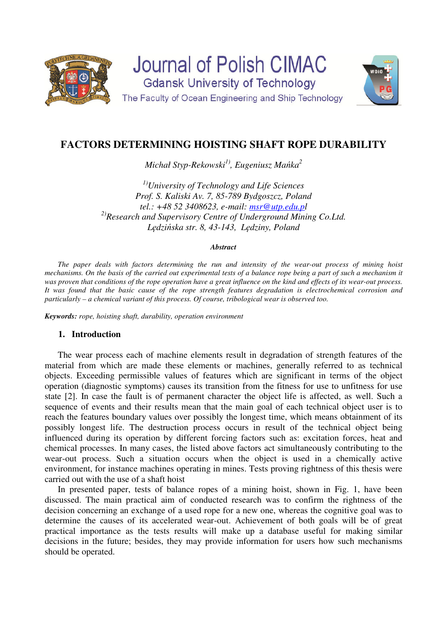

**Journal of Polish CIMAC Gdansk University of Technology** The Faculty of Ocean Engineering and Ship Technology



# **FACTORS DETERMINING HOISTING SHAFT ROPE DURABILITY**

*Michał Styp-Rekowski1), Eugeniusz Mańka<sup>2</sup>*

*1)University of Technology and Life Sciences Prof. S. Kaliski Av. 7, 85-789 Bydgoszcz, Poland tel.: +48 52 3408623, e-mail: msr@utp.edu.pl 2)Research and Supervisory Centre of Underground Mining Co.Ltd. Lędzińska str. 8, 43-143, Lędziny, Poland* 

#### *Abstract*

*The paper deals with factors determining the run and intensity of the wear-out process of mining hoist mechanisms. On the basis of the carried out experimental tests of a balance rope being a part of such a mechanism it was proven that conditions of the rope operation have a great influence on the kind and effects of its wear-out process. It was found that the basic cause of the rope strength features degradation is electrochemical corrosion and particularly – a chemical variant of this process. Of course, tribological wear is observed too.* 

*Keywords: rope, hoisting shaft, durability, operation environment* 

# **1. Introduction**

The wear process each of machine elements result in degradation of strength features of the material from which are made these elements or machines, generally referred to as technical objects. Exceeding permissible values of features which are significant in terms of the object operation (diagnostic symptoms) causes its transition from the fitness for use to unfitness for use state [2]. In case the fault is of permanent character the object life is affected, as well. Such a sequence of events and their results mean that the main goal of each technical object user is to reach the features boundary values over possibly the longest time, which means obtainment of its possibly longest life. The destruction process occurs in result of the technical object being influenced during its operation by different forcing factors such as: excitation forces, heat and chemical processes. In many cases, the listed above factors act simultaneously contributing to the wear-out process. Such a situation occurs when the object is used in a chemically active environment, for instance machines operating in mines. Tests proving rightness of this thesis were carried out with the use of a shaft hoist

In presented paper, tests of balance ropes of a mining hoist, shown in Fig. 1, have been discussed. The main practical aim of conducted research was to confirm the rightness of the decision concerning an exchange of a used rope for a new one, whereas the cognitive goal was to determine the causes of its accelerated wear-out. Achievement of both goals will be of great practical importance as the tests results will make up a database useful for making similar decisions in the future; besides, they may provide information for users how such mechanisms should be operated.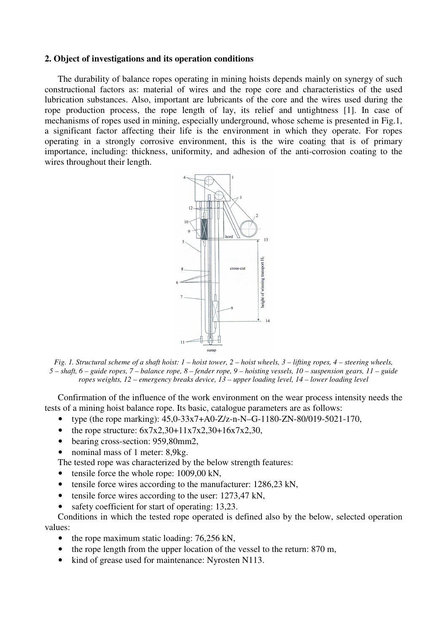### **2. Object of investigations and its operation conditions**

The durability of balance ropes operating in mining hoists depends mainly on synergy of such constructional factors as: material of wires and the rope core and characteristics of the used lubrication substances. Also, important are lubricants of the core and the wires used during the rope production process, the rope length of lay, its relief and untightness [1]. In case of mechanisms of ropes used in mining, especially underground, whose scheme is presented in Fig.1, a significant factor affecting their life is the environment in which they operate. For ropes operating in a strongly corrosive environment, this is the wire coating that is of primary importance, including: thickness, uniformity, and adhesion of the anti-corrosion coating to the wires throughout their length.



*Fig. 1. Structural scheme of a shaft hoist: 1 – hoist tower, 2 – hoist wheels, 3 – lifting ropes, 4 – steering wheels, 5 – shaft, 6 – guide ropes, 7 – balance rope, 8 – fender rope, 9 – hoisting vessels, 10 – suspension gears, 11 – guide ropes weights, 12 – emergency breaks device, 13 – upper loading level, 14 – lower loading level* 

Confirmation of the influence of the work environment on the wear process intensity needs the tests of a mining hoist balance rope. Its basic, catalogue parameters are as follows:

- type (the rope marking):  $45,0-33x7+A0-Z/z-n-N-G-1180-ZN-80/019-5021-170$ ,
- the rope structure:  $6x7x2,30+11x7x2,30+16x7x2,30$ ,
- bearing cross-section: 959,80mm2,
- nominal mass of 1 meter: 8,9kg.

The tested rope was characterized by the below strength features:

- tensile force the whole rope: 1009,00 kN,
- tensile force wires according to the manufacturer: 1286,23 kN,
- tensile force wires according to the user: 1273,47 kN,
- safety coefficient for start of operating: 13.23.

Conditions in which the tested rope operated is defined also by the below, selected operation values:

- the rope maximum static loading: 76,256 kN,
- the rope length from the upper location of the vessel to the return: 870 m,
- kind of grease used for maintenance: Nyrosten N113.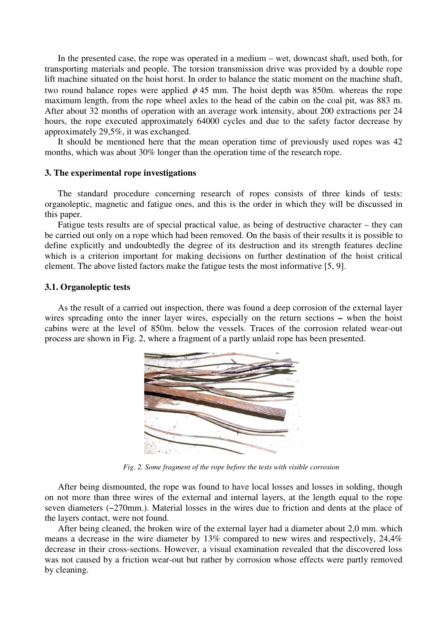In the presented case, the rope was operated in a medium – wet, downcast shaft, used both, for transporting materials and people. The torsion transmission drive was provided by a double rope lift machine situated on the hoist horst. In order to balance the static moment on the machine shaft, two round balance ropes were applied  $\phi$  45 mm. The hoist depth was 850m. whereas the rope maximum length, from the rope wheel axles to the head of the cabin on the coal pit, was 883 m. After about 32 months of operation with an average work intensity, about 200 extractions per 24 hours, the rope executed approximately 64000 cycles and due to the safety factor decrease by approximately 29,5%, it was exchanged.

It should be mentioned here that the mean operation time of previously used ropes was 42 months, which was about 30% longer than the operation time of the research rope.

### **3. The experimental rope investigations**

The standard procedure concerning research of ropes consists of three kinds of tests: organoleptic, magnetic and fatigue ones, and this is the order in which they will be discussed in this paper.

Fatigue tests results are of special practical value, as being of destructive character – they can be carried out only on a rope which had been removed. On the basis of their results it is possible to define explicitly and undoubtedly the degree of its destruction and its strength features decline which is a criterion important for making decisions on further destination of the hoist critical element. The above listed factors make the fatigue tests the most informative [5, 9].

### **3.1. Organoleptic tests**

As the result of a carried out inspection, there was found a deep corrosion of the external layer wires spreading onto the inner layer wires, especially on the return sections **–** when the hoist cabins were at the level of 850m. below the vessels. Traces of the corrosion related wear-out process are shown in Fig. 2, where a fragment of a partly unlaid rope has been presented.



*Fig. 2. Some fragment of the rope before the tests with visible corrosion* 

After being dismounted, the rope was found to have local losses and losses in solding, though on not more than three wires of the external and internal layers, at the length equal to the rope seven diameters (~270mm.). Material losses in the wires due to friction and dents at the place of the layers contact, were not found.

After being cleaned, the broken wire of the external layer had a diameter about 2,0 mm. which means a decrease in the wire diameter by 13% compared to new wires and respectively, 24,4% decrease in their cross-sections. However, a visual examination revealed that the discovered loss was not caused by a friction wear-out but rather by corrosion whose effects were partly removed by cleaning.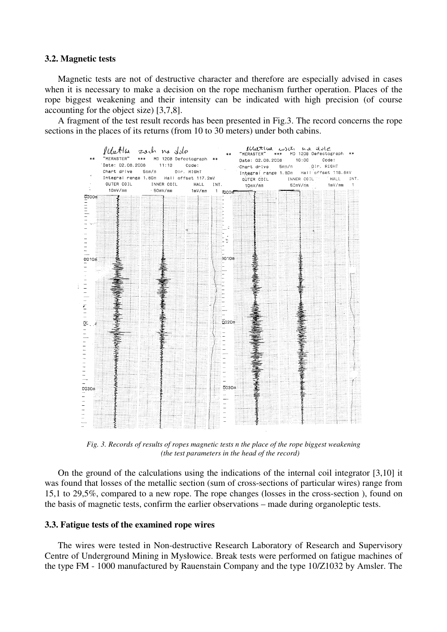#### **3.2. Magnetic tests**

Magnetic tests are not of destructive character and therefore are especially advised in cases when it is necessary to make a decision on the rope mechanism further operation. Places of the rope biggest weakening and their intensity can be indicated with high precision (of course accounting for the object size) [3,7,8].

A fragment of the test result records has been presented in Fig.3. The record concerns the rope sections in the places of its returns (from 10 to 30 meters) under both cabins.



*Fig. 3. Records of results of ropes magnetic tests n the place of the rope biggest weakening (the test parameters in the head of the record)* 

On the ground of the calculations using the indications of the internal coil integrator [3,10] it was found that losses of the metallic section (sum of cross-sections of particular wires) range from 15,1 to 29,5%, compared to a new rope. The rope changes (losses in the cross-section ), found on the basis of magnetic tests, confirm the earlier observations – made during organoleptic tests.

## **3.3. Fatigue tests of the examined rope wires**

The wires were tested in Non-destructive Research Laboratory of Research and Supervisory Centre of Underground Mining in Mysłowice. Break tests were performed on fatigue machines of the type FM - 1000 manufactured by Rauenstain Company and the type 10/Z1032 by Amsler. The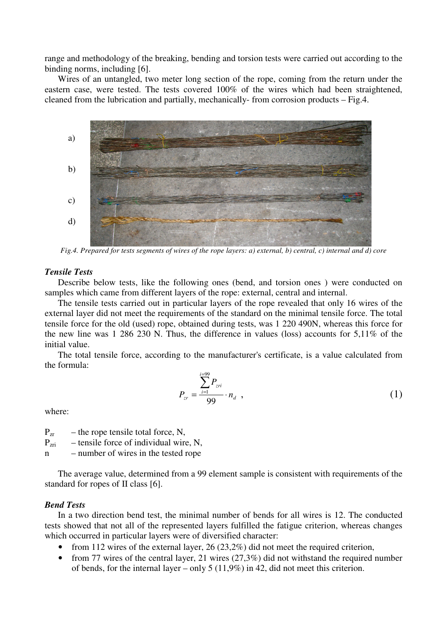range and methodology of the breaking, bending and torsion tests were carried out according to the binding norms, including [6].

Wires of an untangled, two meter long section of the rope, coming from the return under the eastern case, were tested. The tests covered 100% of the wires which had been straightened, cleaned from the lubrication and partially, mechanically- from corrosion products – Fig.4.



*Fig.4. Prepared for tests segments of wires of the rope layers: a) external, b) central, c) internal and d) core* 

## *Tensile Tests*

Describe below tests, like the following ones (bend, and torsion ones ) were conducted on samples which came from different layers of the rope: external, central and internal.

The tensile tests carried out in particular layers of the rope revealed that only 16 wires of the external layer did not meet the requirements of the standard on the minimal tensile force. The total tensile force for the old (used) rope, obtained during tests, was 1 220 490N, whereas this force for the new line was 1 286 230 N. Thus, the difference in values (loss) accounts for 5,11% of the initial value.

The total tensile force, according to the manufacturer's certificate, is a value calculated from the formula:

$$
P_{zr} = \frac{\sum_{i=1}^{i=99} P_{zri}}{99} \cdot n_d \quad , \tag{1}
$$

where:

 $P_{\text{zr}}$  – the rope tensile total force, N,

 $P_{\text{zri}}$  – tensile force of individual wire, N,

n – number of wires in the tested rope

The average value, determined from a 99 element sample is consistent with requirements of the standard for ropes of II class [6].

# *Bend Tests*

In a two direction bend test, the minimal number of bends for all wires is 12. The conducted tests showed that not all of the represented layers fulfilled the fatigue criterion, whereas changes which occurred in particular layers were of diversified character:

- from 112 wires of the external layer,  $26 (23.2%)$  did not meet the required criterion,
- from 77 wires of the central layer, 21 wires  $(27,3\%)$  did not withstand the required number of bends, for the internal layer – only 5 (11,9%) in 42, did not meet this criterion.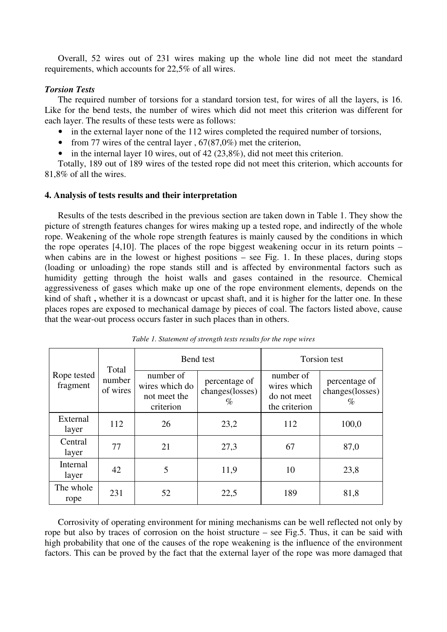Overall, 52 wires out of 231 wires making up the whole line did not meet the standard requirements, which accounts for 22,5% of all wires.

## *Torsion Tests*

The required number of torsions for a standard torsion test, for wires of all the layers, is 16. Like for the bend tests, the number of wires which did not meet this criterion was different for each layer. The results of these tests were as follows:

- in the external layer none of the 112 wires completed the required number of torsions,
- from 77 wires of the central layer,  $67(87,0%)$  met the criterion,
- in the internal layer 10 wires, out of  $42(23,8\%)$ , did not meet this criterion.

Totally, 189 out of 189 wires of the tested rope did not meet this criterion, which accounts for 81,8% of all the wires.

# **4. Analysis of tests results and their interpretation**

Results of the tests described in the previous section are taken down in Table 1. They show the picture of strength features changes for wires making up a tested rope, and indirectly of the whole rope. Weakening of the whole rope strength features is mainly caused by the conditions in which the rope operates  $[4,10]$ . The places of the rope biggest weakening occur in its return points – when cabins are in the lowest or highest positions – see Fig. 1. In these places, during stops (loading or unloading) the rope stands still and is affected by environmental factors such as humidity getting through the hoist walls and gases contained in the resource. Chemical aggressiveness of gases which make up one of the rope environment elements, depends on the kind of shaft **,** whether it is a downcast or upcast shaft, and it is higher for the latter one. In these places ropes are exposed to mechanical damage by pieces of coal. The factors listed above, cause that the wear-out process occurs faster in such places than in others.

| Rope tested<br>fragment | Total<br>number<br>of wires | Bend test                                                |                                          | Torsion test                                             |                                          |
|-------------------------|-----------------------------|----------------------------------------------------------|------------------------------------------|----------------------------------------------------------|------------------------------------------|
|                         |                             | number of<br>wires which do<br>not meet the<br>criterion | percentage of<br>changes(losses)<br>$\%$ | number of<br>wires which<br>do not meet<br>the criterion | percentage of<br>changes(losses)<br>$\%$ |
| External<br>layer       | 112                         | 26                                                       | 23,2                                     | 112                                                      | 100,0                                    |
| Central<br>layer        | 77                          | 21                                                       | 27,3                                     | 67                                                       | 87,0                                     |
| Internal<br>layer       | 42                          | 5                                                        | 11,9                                     | 10                                                       | 23,8                                     |
| The whole<br>rope       | 231                         | 52                                                       | 22,5                                     | 189                                                      | 81,8                                     |

*Table 1. Statement of strength tests results for the rope wires* 

Corrosivity of operating environment for mining mechanisms can be well reflected not only by rope but also by traces of corrosion on the hoist structure – see Fig.5. Thus, it can be said with high probability that one of the causes of the rope weakening is the influence of the environment factors. This can be proved by the fact that the external layer of the rope was more damaged that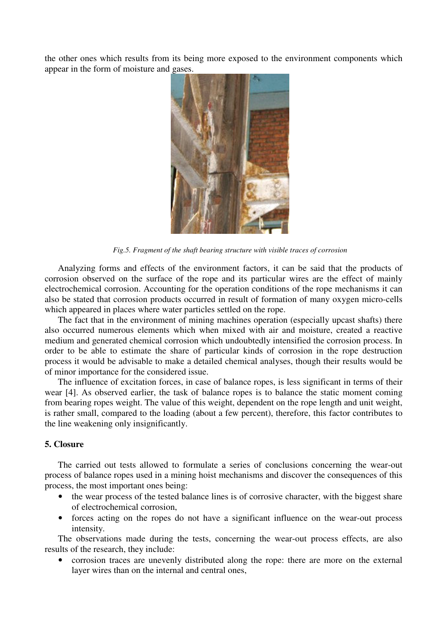the other ones which results from its being more exposed to the environment components which appear in the form of moisture and gases.



*Fig.5. Fragment of the shaft bearing structure with visible traces of corrosion* 

Analyzing forms and effects of the environment factors, it can be said that the products of corrosion observed on the surface of the rope and its particular wires are the effect of mainly electrochemical corrosion. Accounting for the operation conditions of the rope mechanisms it can also be stated that corrosion products occurred in result of formation of many oxygen micro-cells which appeared in places where water particles settled on the rope.

The fact that in the environment of mining machines operation (especially upcast shafts) there also occurred numerous elements which when mixed with air and moisture, created a reactive medium and generated chemical corrosion which undoubtedly intensified the corrosion process. In order to be able to estimate the share of particular kinds of corrosion in the rope destruction process it would be advisable to make a detailed chemical analyses, though their results would be of minor importance for the considered issue.

The influence of excitation forces, in case of balance ropes, is less significant in terms of their wear [4]. As observed earlier, the task of balance ropes is to balance the static moment coming from bearing ropes weight. The value of this weight, dependent on the rope length and unit weight, is rather small, compared to the loading (about a few percent), therefore, this factor contributes to the line weakening only insignificantly.

## **5. Closure**

The carried out tests allowed to formulate a series of conclusions concerning the wear-out process of balance ropes used in a mining hoist mechanisms and discover the consequences of this process, the most important ones being:

- the wear process of the tested balance lines is of corrosive character, with the biggest share of electrochemical corrosion,
- forces acting on the ropes do not have a significant influence on the wear-out process intensity.

The observations made during the tests, concerning the wear-out process effects, are also results of the research, they include:

• corrosion traces are unevenly distributed along the rope: there are more on the external layer wires than on the internal and central ones,